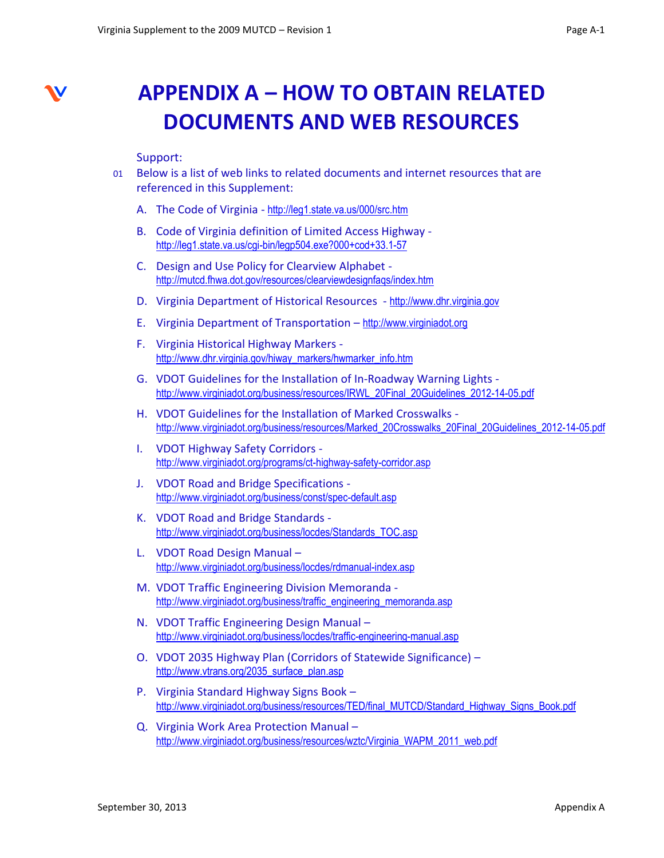

## **APPENDIX A – HOW TO OBTAIN RELATED DOCUMENTS AND WEB RESOURCES**

## Support:

- 01 Below is a list of web links to related documents and internet resources that are referenced in this Supplement:
	- A. The Code of Virginia <http://leg1.state.va.us/000/src.htm>
	- B. Code of Virginia definition of Limited Access Highway <http://leg1.state.va.us/cgi-bin/legp504.exe?000+cod+33.1-57>
	- C. Design and Use Policy for Clearview Alphabet <http://mutcd.fhwa.dot.gov/resources/clearviewdesignfaqs/index.htm>
	- D. Virginia Department of Historical Resources [http://www.dhr.virginia.gov](http://www.dhr.virginia.gov/)
	- E. Virginia Department of Transportation [http://www.virginiadot.org](http://www.virginiadot.org/)
	- F. Virginia Historical Highway Markers [http://www.dhr.virginia.gov/hiway\\_markers/hwmarker\\_info.htm](http://www.dhr.virginia.gov/hiway_markers/hwmarker_info.htm)
	- G. VDOT Guidelines for the Installation of In-Roadway Warning Lights [http://www.virginiadot.org/business/resources/IRWL\\_20Final\\_20Guidelines\\_2012-14-05.pdf](http://www.virginiadot.org/business/resources/IRWL_20Final_20Guidelines_2012-14-05.pdf)
	- H. VDOT Guidelines for the Installation of Marked Crosswalks [http://www.virginiadot.org/business/resources/Marked\\_20Crosswalks\\_20Final\\_20Guidelines\\_2012-14-05.pdf](http://www.virginiadot.org/business/resources/Marked_20Crosswalks_20Final_20Guidelines_2012-14-05.pdf)
	- I. VDOT Highway Safety Corridors <http://www.virginiadot.org/programs/ct-highway-safety-corridor.asp>
	- J. VDOT Road and Bridge Specifications <http://www.virginiadot.org/business/const/spec-default.asp>
	- K. VDOT Road and Bridge Standards [http://www.virginiadot.org/business/locdes/Standards\\_TOC.asp](http://www.virginiadot.org/business/locdes/Standards_TOC.asp)
	- L. VDOT Road Design Manual <http://www.virginiadot.org/business/locdes/rdmanual-index.asp>
	- M. VDOT Traffic Engineering Division Memoranda [http://www.virginiadot.org/business/traffic\\_engineering\\_memoranda.asp](http://www.virginiadot.org/business/traffic_engineering_memoranda.asp)
	- N. VDOT Traffic Engineering Design Manual <http://www.virginiadot.org/business/locdes/traffic-engineering-manual.asp>
	- O. VDOT 2035 Highway Plan (Corridors of Statewide Significance) [http://www.vtrans.org/2035\\_surface\\_plan.asp](http://www.vtrans.org/2035_surface_plan.asp)
	- P. Virginia Standard Highway Signs Book [http://www.virginiadot.org/business/resources/TED/final\\_MUTCD/Standard\\_Highway\\_Signs\\_Book.pdf](http://www.virginiadot.org/business/resources/TED/final_MUTCD/Standard_Highway_Signs_Book.pdf)
	- Q. Virginia Work Area Protection Manual [http://www.virginiadot.org/business/resources/wztc/Virginia\\_WAPM\\_2011\\_web.pdf](http://www.virginiadot.org/business/resources/wztc/Virginia_WAPM_2011_web.pdf)